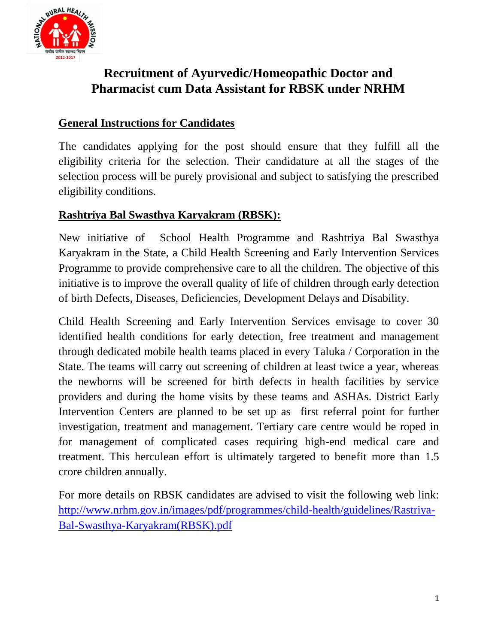

# **Recruitment of Ayurvedic/Homeopathic Doctor and Pharmacist cum Data Assistant for RBSK under NRHM**

### **General Instructions for Candidates**

The candidates applying for the post should ensure that they fulfill all the eligibility criteria for the selection. Their candidature at all the stages of the selection process will be purely provisional and subject to satisfying the prescribed eligibility conditions.

#### **Rashtriya Bal Swasthya Karyakram (RBSK):**

New initiative of School Health Programme and Rashtriya Bal Swasthya Karyakram in the State, a Child Health Screening and Early Intervention Services Programme to provide comprehensive care to all the children. The objective of this initiative is to improve the overall quality of life of children through early detection of birth Defects, Diseases, Deficiencies, Development Delays and Disability.

Child Health Screening and Early Intervention Services envisage to cover 30 identified health conditions for early detection, free treatment and management through dedicated mobile health teams placed in every Taluka / Corporation in the State. The teams will carry out screening of children at least twice a year, whereas the newborns will be screened for birth defects in health facilities by service providers and during the home visits by these teams and ASHAs. District Early Intervention Centers are planned to be set up as first referral point for further investigation, treatment and management. Tertiary care centre would be roped in for management of complicated cases requiring high-end medical care and treatment. This herculean effort is ultimately targeted to benefit more than 1.5 crore children annually.

For more details on RBSK candidates are advised to visit the following web link: [http://www.nrhm.gov.in/images/pdf/programmes/child-health/guidelines/Rastriya-](http://www.nrhm.gov.in/images/pdf/programmes/child-health/guidelines/Rastriya-Bal-Swasthya-Karyakram(RBSK).pdf)[Bal-Swasthya-Karyakram\(RBSK\).pdf](http://www.nrhm.gov.in/images/pdf/programmes/child-health/guidelines/Rastriya-Bal-Swasthya-Karyakram(RBSK).pdf)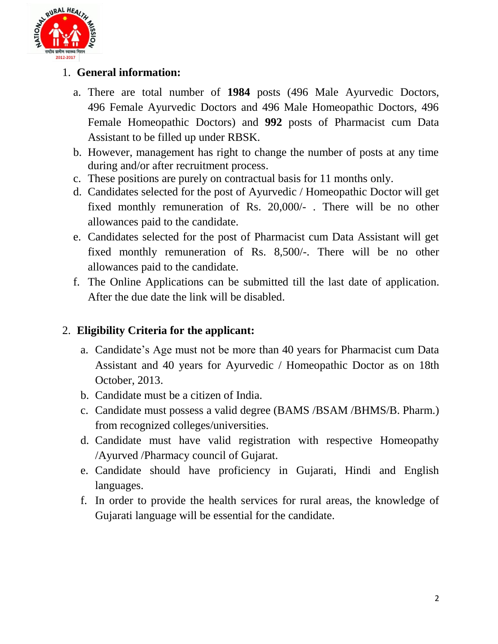

### 1. **General information:**

- a. There are total number of **1984** posts (496 Male Ayurvedic Doctors, 496 Female Ayurvedic Doctors and 496 Male Homeopathic Doctors, 496 Female Homeopathic Doctors) and **992** posts of Pharmacist cum Data Assistant to be filled up under RBSK.
- b. However, management has right to change the number of posts at any time during and/or after recruitment process.
- c. These positions are purely on contractual basis for 11 months only.
- d. Candidates selected for the post of Ayurvedic / Homeopathic Doctor will get fixed monthly remuneration of Rs. 20,000/- . There will be no other allowances paid to the candidate.
- e. Candidates selected for the post of Pharmacist cum Data Assistant will get fixed monthly remuneration of Rs. 8,500/-. There will be no other allowances paid to the candidate.
- f. The Online Applications can be submitted till the last date of application. After the due date the link will be disabled.

### 2. **Eligibility Criteria for the applicant:**

- a. Candidate's Age must not be more than 40 years for Pharmacist cum Data Assistant and 40 years for Ayurvedic / Homeopathic Doctor as on 18th October, 2013.
- b. Candidate must be a citizen of India.
- c. Candidate must possess a valid degree (BAMS /BSAM /BHMS/B. Pharm.) from recognized colleges/universities.
- d. Candidate must have valid registration with respective Homeopathy /Ayurved /Pharmacy council of Gujarat.
- e. Candidate should have proficiency in Gujarati, Hindi and English languages.
- f. In order to provide the health services for rural areas, the knowledge of Gujarati language will be essential for the candidate.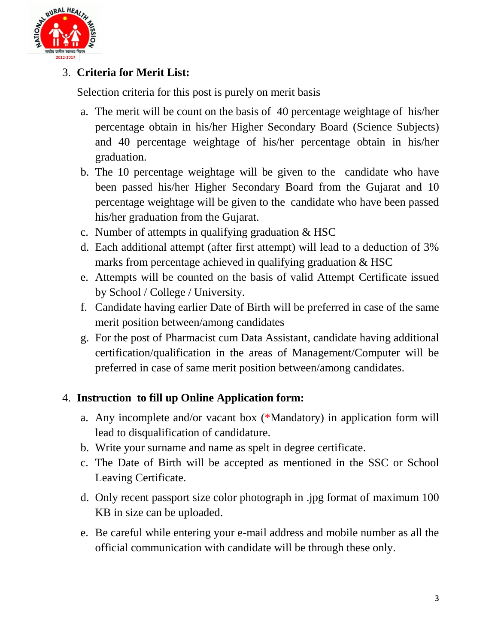

# 3. **Criteria for Merit List:**

Selection criteria for this post is purely on merit basis

- a. The merit will be count on the basis of 40 percentage weightage of his/her percentage obtain in his/her Higher Secondary Board (Science Subjects) and 40 percentage weightage of his/her percentage obtain in his/her graduation.
- b. The 10 percentage weightage will be given to the candidate who have been passed his/her Higher Secondary Board from the Gujarat and 10 percentage weightage will be given to the candidate who have been passed his/her graduation from the Gujarat.
- c. Number of attempts in qualifying graduation & HSC
- d. Each additional attempt (after first attempt) will lead to a deduction of 3% marks from percentage achieved in qualifying graduation  $& HSC$
- e. Attempts will be counted on the basis of valid Attempt Certificate issued by School / College / University.
- f. Candidate having earlier Date of Birth will be preferred in case of the same merit position between/among candidates
- g. For the post of Pharmacist cum Data Assistant, candidate having additional certification/qualification in the areas of Management/Computer will be preferred in case of same merit position between/among candidates.

#### 4. **Instruction to fill up Online Application form:**

- a. Any incomplete and/or vacant box (\*Mandatory) in application form will lead to disqualification of candidature.
- b. Write your surname and name as spelt in degree certificate.
- c. The Date of Birth will be accepted as mentioned in the SSC or School Leaving Certificate.
- d. Only recent passport size color photograph in .jpg format of maximum 100 KB in size can be uploaded.
- e. Be careful while entering your e-mail address and mobile number as all the official communication with candidate will be through these only.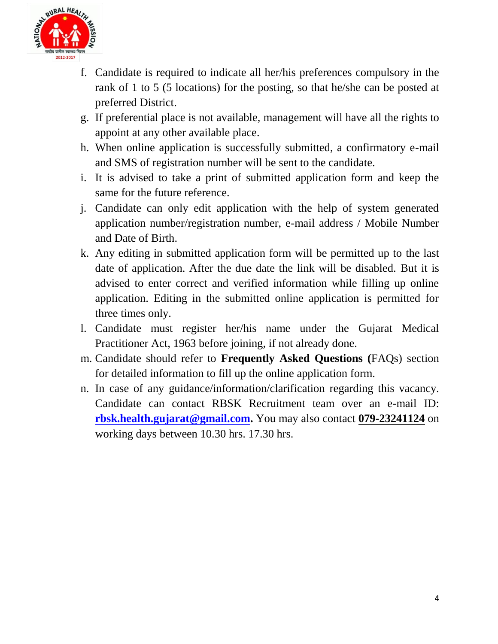

- f. Candidate is required to indicate all her/his preferences compulsory in the rank of 1 to 5 (5 locations) for the posting, so that he/she can be posted at preferred District.
- g. If preferential place is not available, management will have all the rights to appoint at any other available place.
- h. When online application is successfully submitted, a confirmatory e-mail and SMS of registration number will be sent to the candidate.
- i. It is advised to take a print of submitted application form and keep the same for the future reference.
- j. Candidate can only edit application with the help of system generated application number/registration number, e-mail address / Mobile Number and Date of Birth.
- k. Any editing in submitted application form will be permitted up to the last date of application. After the due date the link will be disabled. But it is advised to enter correct and verified information while filling up online application. Editing in the submitted online application is permitted for three times only.
- l. Candidate must register her/his name under the Gujarat Medical Practitioner Act, 1963 before joining, if not already done.
- m. Candidate should refer to **Frequently Asked Questions (**FAQs) section for detailed information to fill up the online application form.
- n. In case of any guidance/information/clarification regarding this vacancy. Candidate can contact RBSK Recruitment team over an e-mail ID: **[rbsk.health.gujarat@gmail.com.](mailto:rbsk.health.gujarat@gmail.com)** You may also contact **079-23241124** on working days between 10.30 hrs. 17.30 hrs.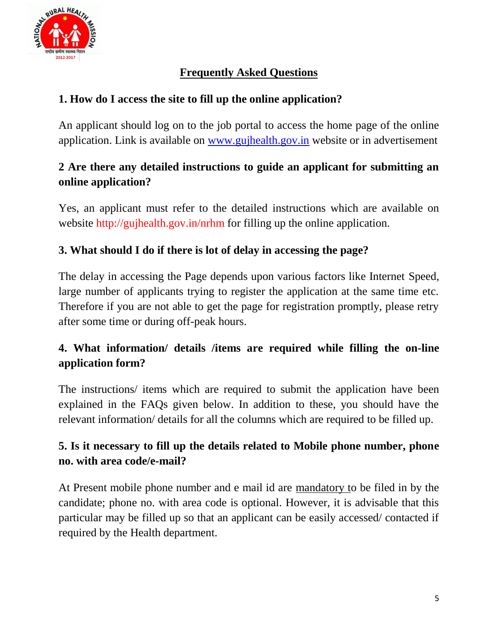

### **Frequently Asked Questions**

### **1. How do I access the site to fill up the online application?**

An applicant should log on to the job portal to access the home page of the online application. Link is available on [www.gujhealth.gov.in](http://www.gujhealth.gov.in/) website or in advertisement

### **2 Are there any detailed instructions to guide an applicant for submitting an online application?**

Yes, an applicant must refer to the detailed instructions which are available on website http://gujhealth.gov.in/nrhm for filling up the online application.

### **3. What should I do if there is lot of delay in accessing the page?**

The delay in accessing the Page depends upon various factors like Internet Speed, large number of applicants trying to register the application at the same time etc. Therefore if you are not able to get the page for registration promptly, please retry after some time or during off-peak hours.

# **4. What information/ details /items are required while filling the on-line application form?**

The instructions/ items which are required to submit the application have been explained in the FAQs given below. In addition to these, you should have the relevant information/ details for all the columns which are required to be filled up.

### **5. Is it necessary to fill up the details related to Mobile phone number, phone no. with area code/e-mail?**

At Present mobile phone number and e mail id are mandatory to be filed in by the candidate; phone no. with area code is optional. However, it is advisable that this particular may be filled up so that an applicant can be easily accessed/ contacted if required by the Health department.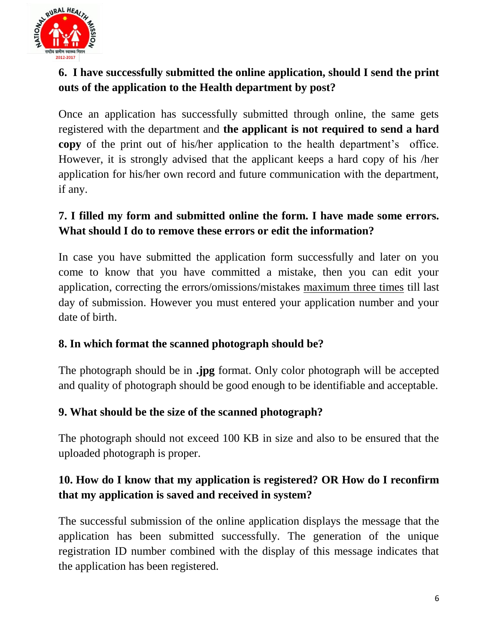

# **6. I have successfully submitted the online application, should I send the print outs of the application to the Health department by post?**

Once an application has successfully submitted through online, the same gets registered with the department and **the applicant is not required to send a hard copy** of the print out of his/her application to the health department's office. However, it is strongly advised that the applicant keeps a hard copy of his /her application for his/her own record and future communication with the department, if any.

### **7. I filled my form and submitted online the form. I have made some errors. What should I do to remove these errors or edit the information?**

In case you have submitted the application form successfully and later on you come to know that you have committed a mistake, then you can edit your application, correcting the errors/omissions/mistakes maximum three times till last day of submission. However you must entered your application number and your date of birth.

#### **8. In which format the scanned photograph should be?**

The photograph should be in **.jpg** format. Only color photograph will be accepted and quality of photograph should be good enough to be identifiable and acceptable.

#### **9. What should be the size of the scanned photograph?**

The photograph should not exceed 100 KB in size and also to be ensured that the uploaded photograph is proper.

### **10. How do I know that my application is registered? OR How do I reconfirm that my application is saved and received in system?**

The successful submission of the online application displays the message that the application has been submitted successfully. The generation of the unique registration ID number combined with the display of this message indicates that the application has been registered.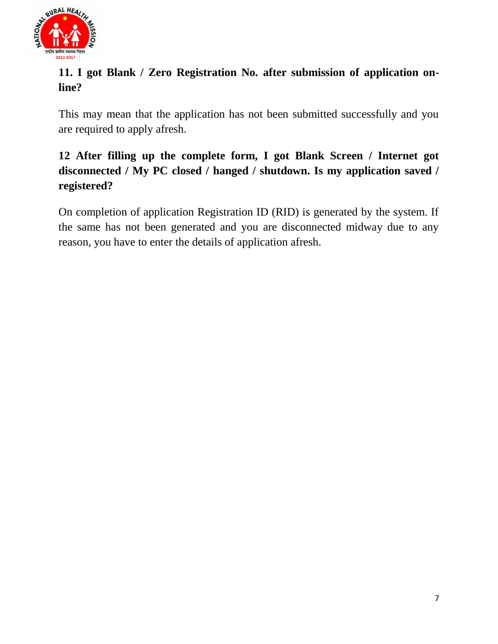

# **11. I got Blank / Zero Registration No. after submission of application online?**

This may mean that the application has not been submitted successfully and you are required to apply afresh.

# **12 After filling up the complete form, I got Blank Screen / Internet got disconnected / My PC closed / hanged / shutdown. Is my application saved / registered?**

On completion of application Registration ID (RID) is generated by the system. If the same has not been generated and you are disconnected midway due to any reason, you have to enter the details of application afresh.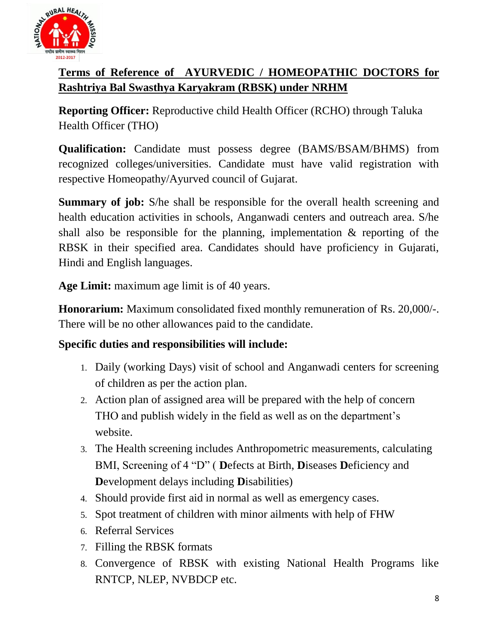

# **Terms of Reference of AYURVEDIC / HOMEOPATHIC DOCTORS for Rashtriya Bal Swasthya Karyakram (RBSK) under NRHM**

**Reporting Officer:** Reproductive child Health Officer (RCHO) through Taluka Health Officer (THO)

**Qualification:** Candidate must possess degree (BAMS/BSAM/BHMS) from recognized colleges/universities. Candidate must have valid registration with respective Homeopathy/Ayurved council of Gujarat.

**Summary of job:** S/he shall be responsible for the overall health screening and health education activities in schools, Anganwadi centers and outreach area. S/he shall also be responsible for the planning, implementation & reporting of the RBSK in their specified area. Candidates should have proficiency in Gujarati, Hindi and English languages.

**Age Limit:** maximum age limit is of 40 years.

**Honorarium:** Maximum consolidated fixed monthly remuneration of Rs. 20,000/-. There will be no other allowances paid to the candidate.

#### **Specific duties and responsibilities will include:**

- 1. Daily (working Days) visit of school and Anganwadi centers for screening of children as per the action plan.
- 2. Action plan of assigned area will be prepared with the help of concern THO and publish widely in the field as well as on the department's website.
- 3. The Health screening includes Anthropometric measurements, calculating BMI, Screening of 4 "D" ( **D**efects at Birth, **D**iseases **D**eficiency and **D**evelopment delays including **D**isabilities)
- 4. Should provide first aid in normal as well as emergency cases.
- 5. Spot treatment of children with minor ailments with help of FHW
- 6. Referral Services
- 7. Filling the RBSK formats
- 8. Convergence of RBSK with existing National Health Programs like RNTCP, NLEP, NVBDCP etc.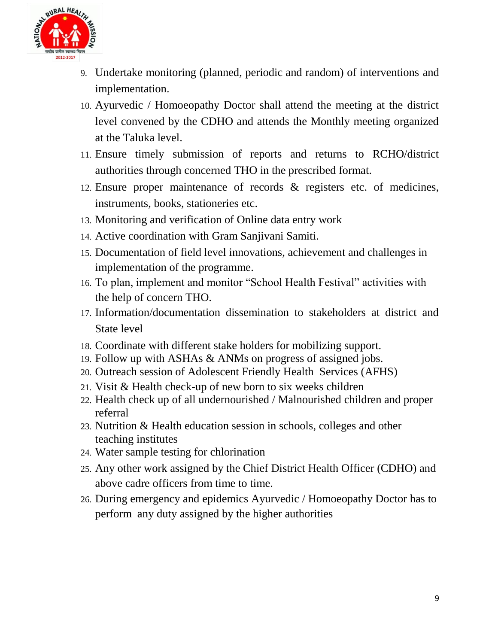

- 9. Undertake monitoring (planned, periodic and random) of interventions and implementation.
- 10. Ayurvedic / Homoeopathy Doctor shall attend the meeting at the district level convened by the CDHO and attends the Monthly meeting organized at the Taluka level.
- 11. Ensure timely submission of reports and returns to RCHO/district authorities through concerned THO in the prescribed format.
- 12. Ensure proper maintenance of records & registers etc. of medicines, instruments, books, stationeries etc.
- 13. Monitoring and verification of Online data entry work
- 14. Active coordination with Gram Sanjivani Samiti.
- 15. Documentation of field level innovations, achievement and challenges in implementation of the programme.
- 16. To plan, implement and monitor "School Health Festival" activities with the help of concern THO.
- 17. Information/documentation dissemination to stakeholders at district and State level
- 18. Coordinate with different stake holders for mobilizing support.
- 19. Follow up with ASHAs & ANMs on progress of assigned jobs.
- 20. Outreach session of Adolescent Friendly Health Services (AFHS)
- 21. Visit & Health check-up of new born to six weeks children
- 22. Health check up of all undernourished / Malnourished children and proper referral
- 23. Nutrition & Health education session in schools, colleges and other teaching institutes
- 24. Water sample testing for chlorination
- 25. Any other work assigned by the Chief District Health Officer (CDHO) and above cadre officers from time to time.
- 26. During emergency and epidemics Ayurvedic / Homoeopathy Doctor has to perform any duty assigned by the higher authorities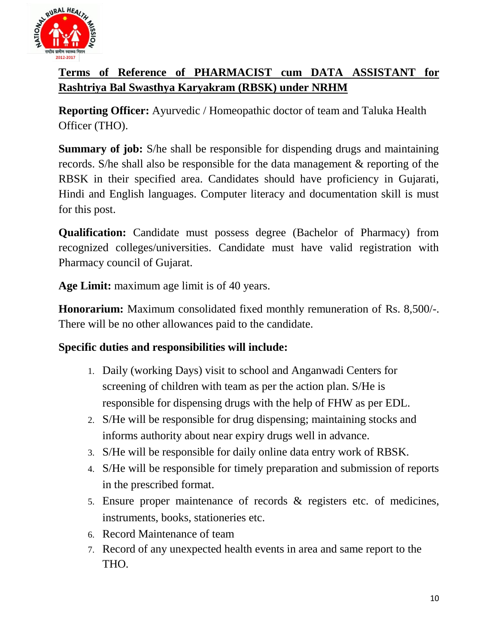

# **Terms of Reference of PHARMACIST cum DATA ASSISTANT for Rashtriya Bal Swasthya Karyakram (RBSK) under NRHM**

**Reporting Officer:** Ayurvedic / Homeopathic doctor of team and Taluka Health Officer (THO).

**Summary of job:** S/he shall be responsible for dispending drugs and maintaining records. S/he shall also be responsible for the data management & reporting of the RBSK in their specified area. Candidates should have proficiency in Gujarati, Hindi and English languages. Computer literacy and documentation skill is must for this post.

**Qualification:** Candidate must possess degree (Bachelor of Pharmacy) from recognized colleges/universities. Candidate must have valid registration with Pharmacy council of Gujarat.

**Age Limit:** maximum age limit is of 40 years.

**Honorarium:** Maximum consolidated fixed monthly remuneration of Rs. 8,500/-. There will be no other allowances paid to the candidate.

#### **Specific duties and responsibilities will include:**

- 1. Daily (working Days) visit to school and Anganwadi Centers for screening of children with team as per the action plan. S/He is responsible for dispensing drugs with the help of FHW as per EDL.
- 2. S/He will be responsible for drug dispensing; maintaining stocks and informs authority about near expiry drugs well in advance.
- 3. S/He will be responsible for daily online data entry work of RBSK.
- 4. S/He will be responsible for timely preparation and submission of reports in the prescribed format.
- 5. Ensure proper maintenance of records & registers etc. of medicines, instruments, books, stationeries etc.
- 6. Record Maintenance of team
- 7. Record of any unexpected health events in area and same report to the THO.